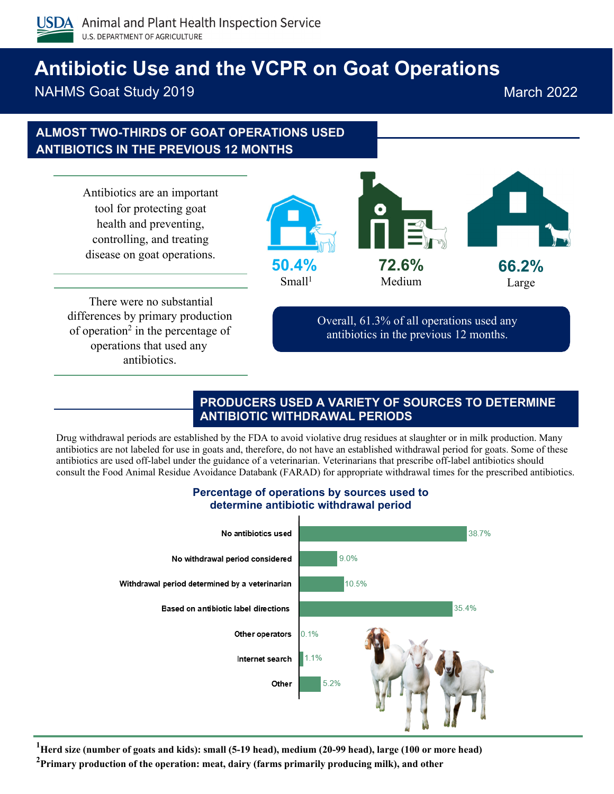

# **Antibiotic Use and the VCPR on Goat Operations**

NAHMS Goat Study 2019 **March 2022** March 2022

## **ALMOST TWO-THIRDS OF GOAT OPERATIONS USED ANTIBIOTICS IN THE PREVIOUS 12 MONTHS**

Antibiotics are an important tool for protecting goat health and preventing, controlling, and treating disease on goat operations.



There were no substantial differences by primary production of operation<sup>2</sup> in the percentage of operations that used any antibiotics.

Overall, 61.3% of all operations used any antibiotics in the previous 12 months.

#### **PRODUCERS USED A VARIETY OF SOURCES TO DETERMINE ANTIBIOTIC WITHDRAWAL PERIODS**

Drug withdrawal periods are established by the FDA to avoid violative drug residues at slaughter or in milk production. Many antibiotics are not labeled for use in goats and, therefore, do not have an established withdrawal period for goats. Some of these antibiotics are used off-label under the guidance of a veterinarian. Veterinarians that prescribe off-label antibiotics should consult the Food Animal Residue Avoidance Databank (FARAD) for appropriate withdrawal times for the prescribed antibiotics.



#### **Percentage of operations by sources used to determine antibiotic withdrawal period**

<sup>1</sup>Herd size (number of goats and kids): small (5-19 head), medium (20-99 head), large (100 or more head)

**2 Primary production of the operation: meat, dairy (farms primarily producing milk), and other**